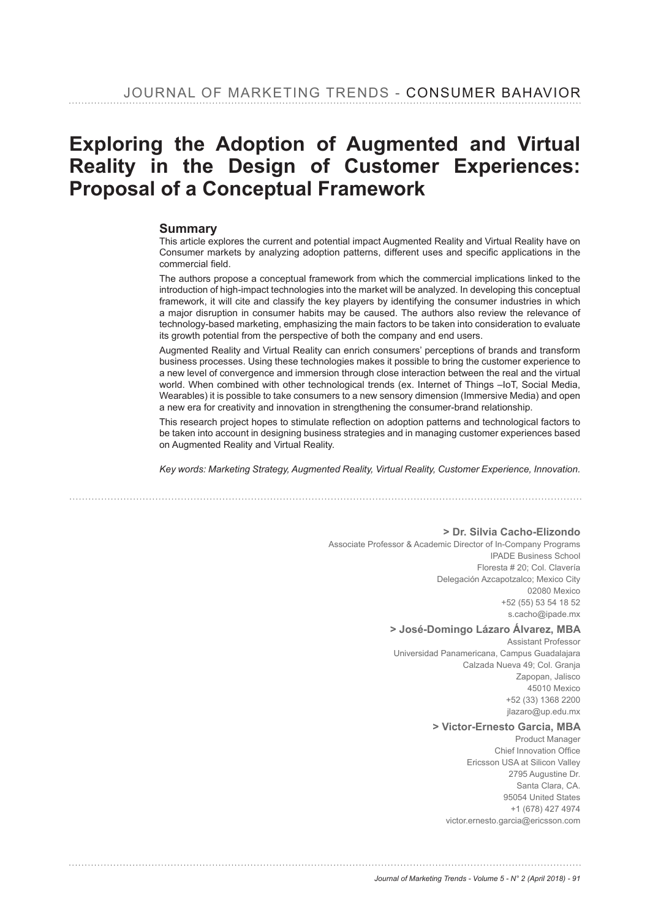# Exploring the Adoption of Augmented and Virtual Reality in the Design of Customer Experiences: **Proposal of a Conceptual Framework**

#### **Summary**

This article explores the current and potential impact Augmented Reality and Virtual Reality have on Consumer markets by analyzing adoption patterns, different uses and specific applications in the commercial field.

The authors propose a conceptual framework from which the commercial implications linked to the introduction of high-impact technologies into the market will be analyzed. In developing this conceptual framework, it will cite and classify the key players by identifying the consumer industries in which a major disruption in consumer habits may be caused. The authors also review the relevance of technology-based marketing, emphasizing the main factors to be taken into consideration to evaluate its growth potential from the perspective of both the company and end users.

Augmented Reality and Virtual Reality can enrich consumers' perceptions of brands and transform business processes. Using these technologies makes it possible to bring the customer experience to a new level of convergence and immersion through close interaction between the real and the virtual world. When combined with other technological trends (ex. Internet of Things –IoT, Social Media, Wearables) it is possible to take consumers to a new sensory dimension (Immersive Media) and open a new era for creativity and innovation in strengthening the consumer-brand relationship.

This research project hopes to stimulate reflection on adoption patterns and technological factors to be taken into account in designing business strategies and in managing customer experiences based on Augmented Reality and Virtual Reality.

*Key words: Marketing Strategy, Augmented Reality, Virtual Reality, Customer Experience, Innovation.*

**> Dr. Silvia Cacho-Elizondo**

Associate Professor & Academic Director of In-Company Programs IPADE Business School Floresta # 20; Col. Clavería Delegación Azcapotzalco; Mexico City 02080 Mexico +52 (55) 53 54 18 52 s.cacho@ipade.mx

#### **> José-Domingo Lázaro Álvarez, MBA**

Assistant Professor Universidad Panamericana, Campus Guadalajara Calzada Nueva 49; Col. Granja Zapopan, Jalisco 45010 Mexico +52 (33) 1368 2200 jlazaro@up.edu.mx

#### **> Victor-Ernesto Garcia, MBA**

Product Manager Chief Innovation Office Ericsson USA at Silicon Valley 2795 Augustine Dr. Santa Clara, CA. 95054 United States +1 (678) 427 4974 victor.ernesto.garcia@ericsson.com

*Journal of Marketing Trends - Volume 5 - N° 2 (April 2018) - 91*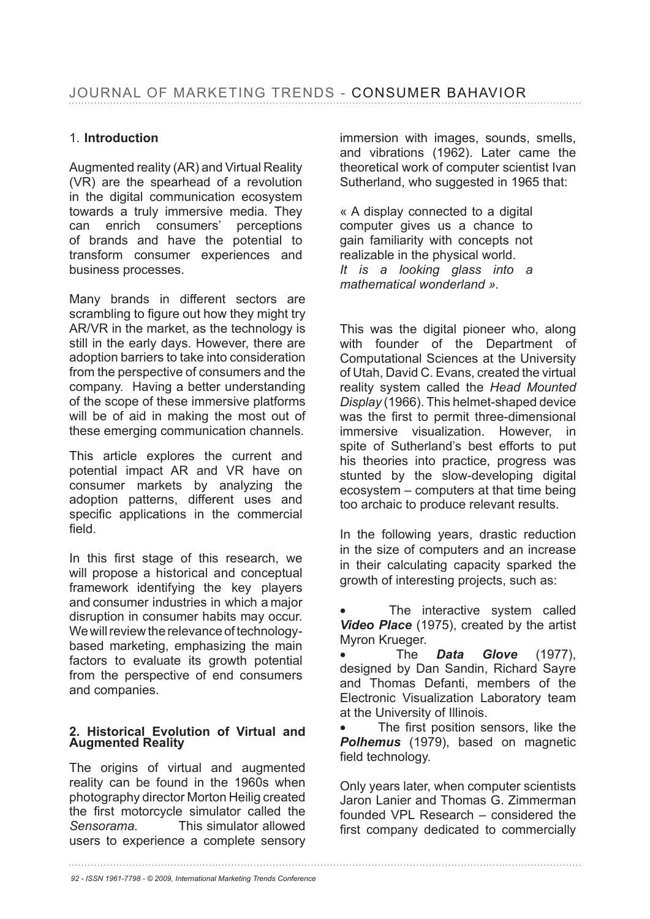# 1. **Introduction**

Augmented reality (AR) and Virtual Reality (VR) are the spearhead of a revolution in the digital communication ecosystem towards a truly immersive media. They can enrich consumers' perceptions of brands and have the potential to transform consumer experiences and business processes.

Many brands in different sectors are scrambling to figure out how they might try AR/VR in the market, as the technology is still in the early days. However, there are adoption barriers to take into consideration from the perspective of consumers and the company. Having a better understanding of the scope of these immersive platforms will be of aid in making the most out of these emerging communication channels.

This article explores the current and potential impact AR and VR have on consumer markets by analyzing the adoption patterns, different uses and specific applications in the commercial field.

In this first stage of this research, we will propose a historical and conceptual framework identifying the key players and consumer industries in which a major disruption in consumer habits may occur. We will review the relevance of technologybased marketing, emphasizing the main factors to evaluate its growth potential from the perspective of end consumers and companies.

#### 2. Historical Evolution of Virtual and **Augmented Reality**

The origins of virtual and augmented reality can be found in the 1960s when photography director Morton Heilig created the first motorcycle simulator called the *Sensorama.* This simulator allowed users to experience a complete sensory

immersion with images, sounds, smells, and vibrations (1962). Later came the theoretical work of computer scientist Ivan Sutherland, who suggested in 1965 that:

« A display connected to a digital computer gives us a chance to gain familiarity with concepts not realizable in the physical world. *It is a looking glass into a mathematical wonderland ».*

This was the digital pioneer who, along with founder of the Department of Computational Sciences at the University of Utah, David C. Evans, created the virtual reality system called the *Head Mounted Display* (1966). This helmet-shaped device was the first to permit three-dimensional immersive visualization. However, in spite of Sutherland's best efforts to put his theories into practice, progress was stunted by the slow-developing digital ecosystem – computers at that time being too archaic to produce relevant results.

In the following years, drastic reduction in the size of computers and an increase in their calculating capacity sparked the growth of interesting projects, such as:

The interactive system called **Video Place** (1975), created by the artist Myron Krueger.

• The *Data Glove* designed by Dan Sandin, Richard Sayre and Thomas Defanti, members of the Electronic Visualization Laboratory team at the University of Illinois.

The first position sensors, like the **Polhemus** (1979), based on magnetic field technology.

Only years later, when computer scientists Jaron Lanier and Thomas G. Zimmerman founded VPL Research – considered the first company dedicated to commercially

*92 - ISSN 1961-7798 - © 2009, International Marketing Trends Conference*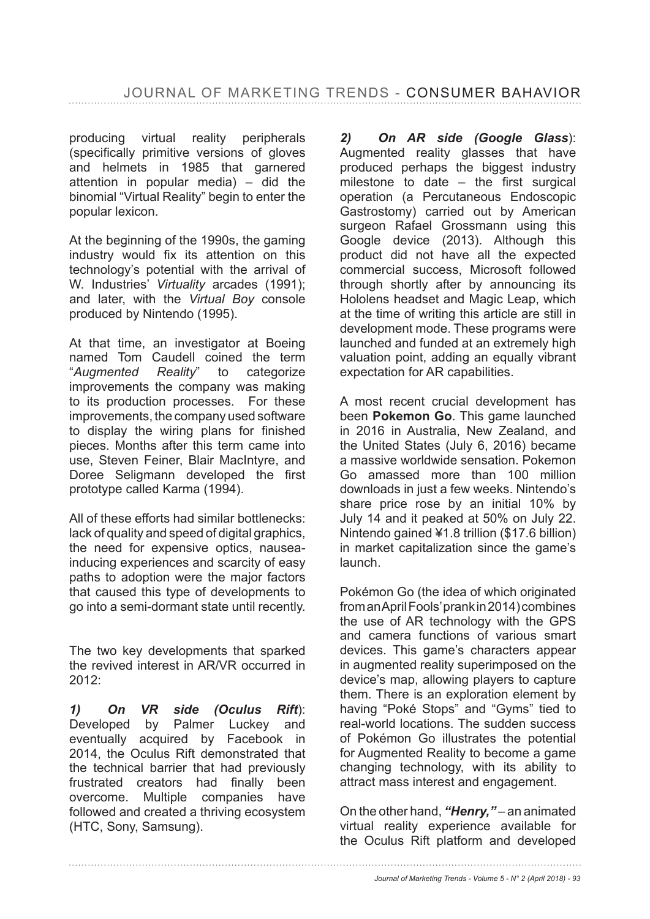producing virtual reality peripherals (specifically primitive versions of gloves and helmets in 1985 that garnered attention in popular media) – did the binomial "Virtual Reality" begin to enter the popular lexicon.

At the beginning of the 1990s, the gaming industry would fix its attention on this technology's potential with the arrival of W. Industries' *Virtuality* arcades (1991); and later, with the *Virtual Boy* console produced by Nintendo (1995).

At that time, an investigator at Boeing named Tom Caudell coined the term "*Augmented Reality*" to categorize improvements the company was making to its production processes. For these improvements, the company used software to display the wiring plans for finished pieces. Months after this term came into use, Steven Feiner, Blair MacIntyre, and Doree Seligmann developed the first prototype called Karma (1994).

All of these efforts had similar bottlenecks: lack of quality and speed of digital graphics, the need for expensive optics, nauseainducing experiences and scarcity of easy paths to adoption were the major factors that caused this type of developments to go into a semi-dormant state until recently.

The two key developments that sparked the revived interest in AR/VR occurred in 2012:

*1) On VR side (Oculus Rift*): Developed by Palmer Luckey and eventually acquired by Facebook in 2014, the Oculus Rift demonstrated that the technical barrier that had previously frustrated creators had finally been overcome. Multiple companies have followed and created a thriving ecosystem (HTC, Sony, Samsung).

*2) On AR side (Google Glass*): Augmented reality glasses that have produced perhaps the biggest industry milestone to date  $-$  the first surgical operation (a Percutaneous Endoscopic Gastrostomy) carried out by American surgeon Rafael Grossmann using this Google device (2013). Although this product did not have all the expected commercial success, Microsoft followed through shortly after by announcing its Hololens headset and Magic Leap, which at the time of writing this article are still in development mode. These programs were launched and funded at an extremely high valuation point, adding an equally vibrant expectation for AR capabilities.

A most recent crucial development has been **Pokemon Go**. This game launched in 2016 in Australia, New Zealand, and the United States (July 6, 2016) became a massive worldwide sensation. Pokemon Go amassed more than 100 million downloads in just a few weeks. Nintendo's share price rose by an initial  $10\%$  by July 14 and it peaked at 50% on July 22. Nintendo gained  $41.8$  trillion (\$17.6 billion) in market capitalization since the game's launch.

Pokémon Go (the idea of which originated from an April Fools' prank in 2014) combines the use of AR technology with the GPS and camera functions of various smart devices. This game's characters appear in augmented reality superimposed on the device's map, allowing players to capture them. There is an exploration element by having "Poké Stops" and "Gyms" tied to real-world locations. The sudden success of Pokémon Go illustrates the potential for Augmented Reality to become a game changing technology, with its ability to attract mass interest and engagement.

On the other hand, *"Henry,"* – an animated virtual reality experience available for the Oculus Rift platform and developed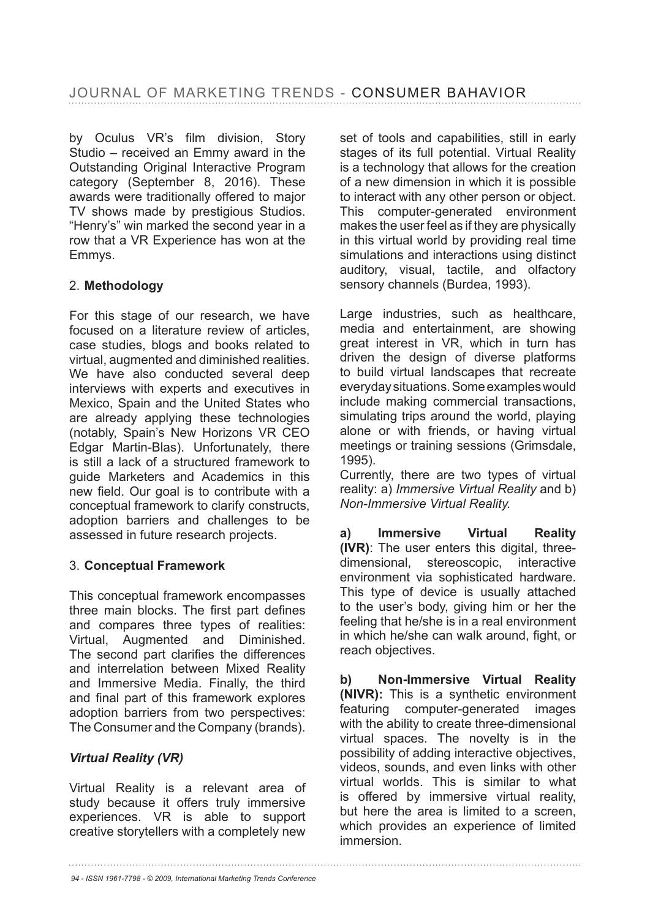by Oculus VR's film division, Story Studio – received an Emmy award in the Outstanding Original Interactive Program category (September 8, 2016). These awards were traditionally offered to major TV shows made by prestigious Studios. "Henry's" win marked the second year in a row that a VR Experience has won at the Emmys.

# 2. **Methodology**

For this stage of our research, we have focused on a literature review of articles, case studies, blogs and books related to virtual, augmented and diminished realities. We have also conducted several deep interviews with experts and executives in Mexico, Spain and the United States who are already applying these technologies (notably, Spain's New Horizons VR CEO Edgar Martin-Blas). Unfortunately, there is still a lack of a structured framework to guide Marketers and Academics in this new field. Our goal is to contribute with a conceptual framework to clarify constructs, adoption barriers and challenges to be assessed in future research projects.

## 3. **Conceptual Framework**

This conceptual framework encompasses three main blocks. The first part defines and compares three types of realities: Virtual, Augmented and Diminished. The second part clarifies the differences and interrelation between Mixed Reality and Immersive Media. Finally, the third and final part of this framework explores adoption barriers from two perspectives: The Consumer and the Company (brands).

## *Virtual Reality (VR)*

Virtual Reality is a relevant area of study because it offers truly immersive experiences. VR is able to support creative storytellers with a completely new set of tools and capabilities, still in early stages of its full potential. Virtual Reality is a technology that allows for the creation of a new dimension in which it is possible to interact with any other person or object. This computer-generated environment makes the user feel as if they are physically in this virtual world by providing real time simulations and interactions using distinct auditory, visual, tactile, and olfactory sensory channels (Burdea, 1993).

Large industries, such as healthcare, media and entertainment, are showing great interest in VR, which in turn has driven the design of diverse platforms to build virtual landscapes that recreate everyday situations. Some examples would include making commercial transactions, simulating trips around the world, playing alone or with friends, or having virtual meetings or training sessions (Grimsdale, 1995).

Currently, there are two types of virtual reality: a) *Immersive Virtual Reality* and b) *Non-Immersive Virtual Reality.* 

**a) Immersive Virtual Reality (IVR)**: The user enters this digital, threedimensional, stereoscopic, interactive environment via sophisticated hardware. This type of device is usually attached to the user's body, giving him or her the feeling that he/she is in a real environment in which he/she can walk around, fight, or reach objectives.

**b) Non-Immersive Virtual Reality (NIVR):** This is a synthetic environment featuring computer-generated images with the ability to create three-dimensional virtual spaces. The novelty is in the possibility of adding interactive objectives, videos, sounds, and even links with other virtual worlds. This is similar to what is offered by immersive virtual reality, but here the area is limited to a screen, which provides an experience of limited immersion.

*94 - ISSN 1961-7798 - © 2009, International Marketing Trends Conference*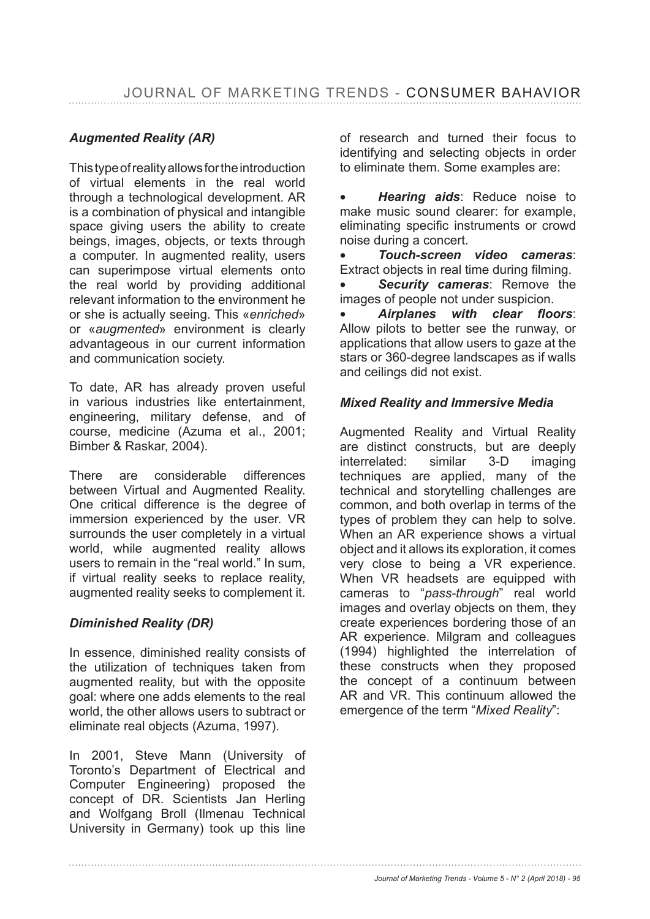# *Augmented Reality (AR)*

This type of reality allows for the introduction of virtual elements in the real world through a technological development. AR is a combination of physical and intangible space giving users the ability to create beings, images, objects, or texts through a computer. In augmented reality, users can superimpose virtual elements onto the real world by providing additional relevant information to the environment he or she is actually seeing. This «*enriched*» or «*augmented*» environment is clearly advantageous in our current information and communication society.

To date, AR has already proven useful in various industries like entertainment, engineering, military defense, and of course, medicine (Azuma et al., 2001; Bimber & Raskar, 2004).

There are considerable differences between Virtual and Augmented Reality. One critical difference is the degree of immersion experienced by the user. VR surrounds the user completely in a virtual world, while augmented reality allows users to remain in the "real world." In sum, if virtual reality seeks to replace reality, augmented reality seeks to complement it.

## *Diminished Reality (DR)*

In essence, diminished reality consists of the utilization of techniques taken from augmented reality, but with the opposite goal: where one adds elements to the real world, the other allows users to subtract or eliminate real objects (Azuma, 1997).

In 2001, Steve Mann (University of Toronto's Department of Electrical and Computer Engineering) proposed the concept of DR. Scientists Jan Herling and Wolfgang Broll (Ilmenau Technical University in Germany) took up this line of research and turned their focus to identifying and selecting objects in order to eliminate them. Some examples are:

• *Hearing aids*: Reduce noise to make music sound clearer: for example, eliminating specific instruments or crowd noise during a concert.

• *Touch-screen video cameras*: Extract objects in real time during filming.

• *Security cameras*: Remove the images of people not under suspicion.

• Airplanes with clear floors: Allow pilots to better see the runway, or applications that allow users to gaze at the stars or 360-degree landscapes as if walls and ceilings did not exist.

## *Mixed Reality and Immersive Media*

Augmented Reality and Virtual Reality are distinct constructs, but are deeply interrelated: similar 3-D imaging techniques are applied, many of the technical and storytelling challenges are common, and both overlap in terms of the types of problem they can help to solve. When an AR experience shows a virtual object and it allows its exploration, it comes very close to being a VR experience. When VR headsets are equipped with cameras to "*pass-through*" real world images and overlay objects on them, they create experiences bordering those of an AR experience. Milgram and colleagues (1994) highlighted the interrelation of these constructs when they proposed the concept of a continuum between AR and VR. This continuum allowed the emergence of the term "*Mixed Reality*":

*Journal of Marketing Trends - Volume 5 - N° 2 (April 2018) - 95*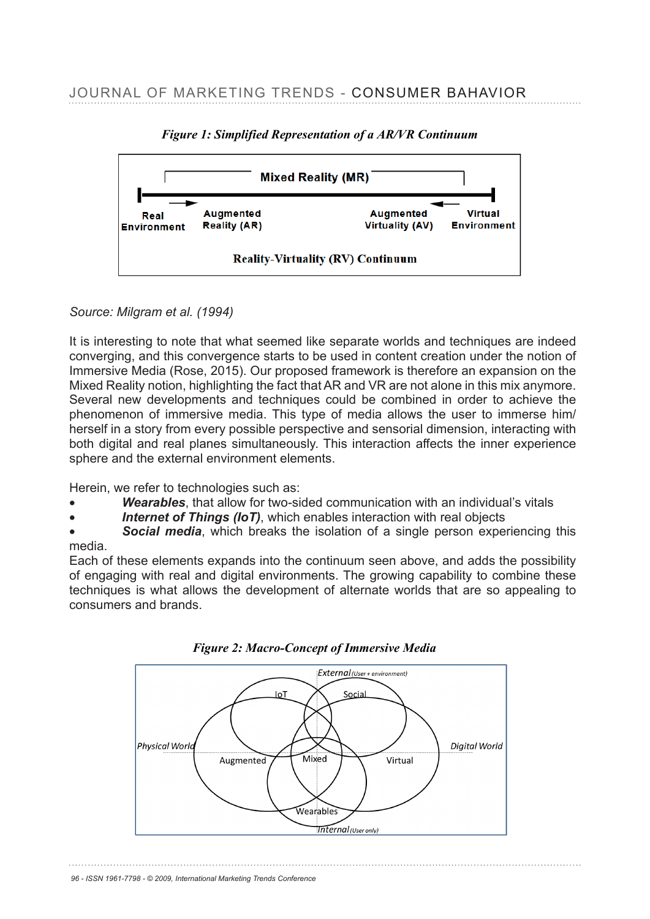

*Figure 1: Simplified Representation of a AR/VR Continuum* 

# *Source: Milgram et al. (1994)* It is interesting to note that what seemed in the separate worlds and techniques are in

It is interesting to note that what seemed like separate worlds and techniques are indeed converging, and this convergence starts to be used in content creation under the notion of Immersive Media (Rose, 2015). Our proposed framework is therefore an expansion on the Mixed Reality notion, highlighting the fact that AR and VR are not alone in this mix anymore. Several new developments and techniques could be combined in order to achieve the phenomenon of immersive media. This type of media allows the user to immerse him/ herself in a story from every possible perspective and sensorial dimension, interacting with hersen in a story hom every possible perspective and sensonal dimension, interacting with both digital and real planes simultaneously. This interaction affects the inner experience sphere and the external environment elements. sphere and the external environment elements.

Herein, we refer to technologies such as: Herein, we refer to technologies such as

- **Wearables**, that allow for two-sided communication with an individual's vitals
- **Internet of Things (IoT)**, which enables interaction with real objects
- **Social media**, which breaks the isolation of a single person experiencing this media.

Each of these elements expands into the continuum seen above, and adds the possibility of engaging with real and digital environments. The growing capability to combine these of engaging with real and digital environments. The growing capability to combine these<br>techniques is what allows the development of alternate worlds that are so appealing to consumers and brands. of induce to that allows the development of alternate worlds that are so appealing



 *Figure 2: Macro-Concept of Immersive Media*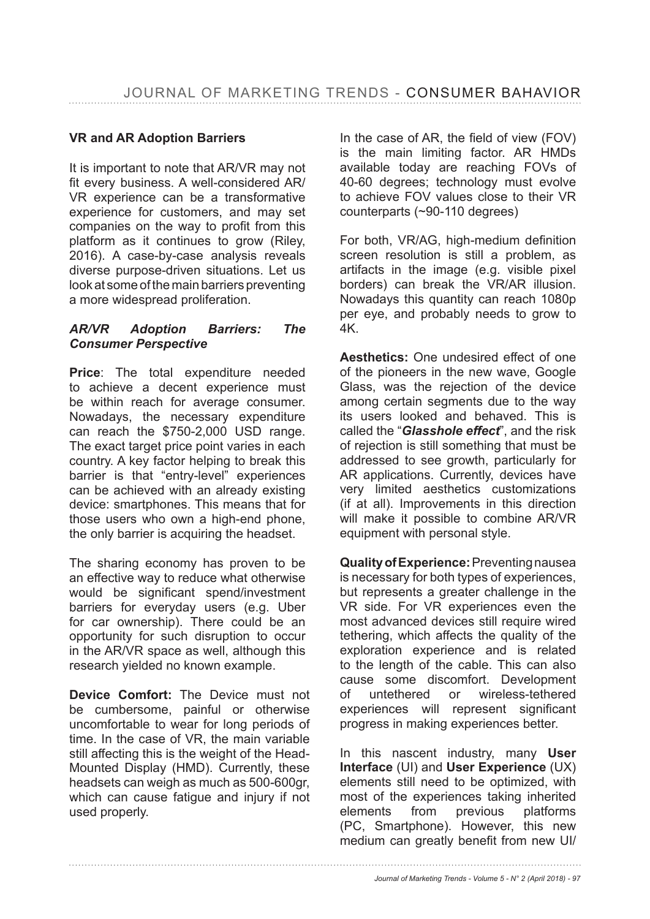# **VR and AR Adoption Barriers**

It is important to note that AR/VR may not fit every business. A well-considered AR/ VR experience can be a transformative experience for customers, and may set companies on the way to profit from this platform as it continues to grow (Riley, 2016). A case-by-case analysis reveals diverse purpose-driven situations. Let us look at some of the main barriers preventing a more widespread proliferation.

## *AR/VR Adoption Barriers: The Consumer Perspective*

**Price**: The total expenditure needed to achieve a decent experience must be within reach for average consumer. Nowadays, the necessary expenditure can reach the  $$750-2,000$  USD range. The exact target price point varies in each country. A key factor helping to break this barrier is that "entry-level" experiences can be achieved with an already existing device: smartphones. This means that for those users who own a high-end phone, the only barrier is acquiring the headset.

The sharing economy has proven to be an effective way to reduce what otherwise would be significant spend/investment barriers for everyday users (e.g. Uber for car ownership). There could be an opportunity for such disruption to occur in the AR/VR space as well, although this research yielded no known example.

**Device Comfort:** The Device must not be cumbersome, painful or otherwise uncomfortable to wear for long periods of time. In the case of VR, the main variable still affecting this is the weight of the Head-Mounted Display (HMD). Currently, these headsets can weigh as much as 500-600gr, which can cause fatigue and injury if not used properly.

In the case of AR, the field of view  $(FOV)$ is the main limiting factor. AR HMDs available today are reaching FOVs of 40-60 degrees; technology must evolve to achieve FOV values close to their VR counterparts (~90-110 degrees)

For both, VR/AG, high-medium definition screen resolution is still a problem, as artifacts in the image (e.g. visible pixel borders) can break the VR/AR illusion. Nowadays this quantity can reach 1080p per eye, and probably needs to grow to 4K.

**Aesthetics:** One undesired effect of one of the pioneers in the new wave, Google Glass, was the rejection of the device among certain segments due to the way its users looked and behaved. This is called the "*Glasshole effect*", and the risk of rejection is still something that must be addressed to see growth, particularly for AR applications. Currently, devices have very limited aesthetics customizations (if at all). Improvements in this direction will make it possible to combine AR/VR equipment with personal style.

Quality of Experience: Preventing nausea is necessary for both types of experiences, but represents a greater challenge in the VR side. For VR experiences even the most advanced devices still require wired tethering, which affects the quality of the exploration experience and is related to the length of the cable. This can also cause some discomfort. Development of untethered or wireless-tethered experiences will represent significant progress in making experiences better.

In this nascent industry, many **User Interface** (UI) and User Experience (UX) elements still need to be optimized, with most of the experiences taking inherited elements from previous platforms (PC, Smartphone). However, this new medium can greatly benefit from new UI/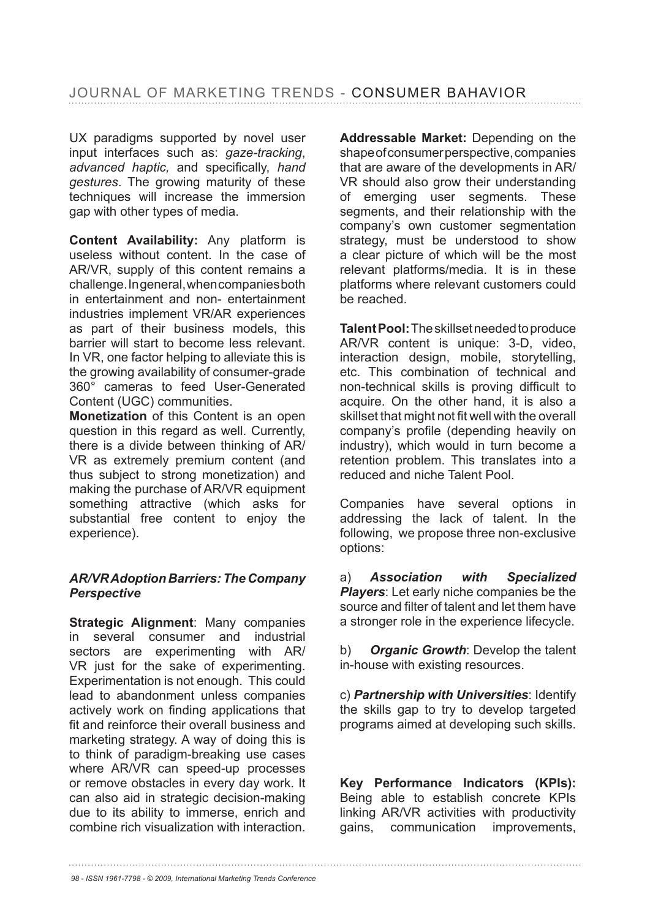UX paradigms supported by novel user input interfaces such as: *gaze-tracking*, *advanced haptic, and specifically, hand gestures*. The growing maturity of these techniques will increase the immersion gap with other types of media.

**Content Availability:** Any platform is useless without content. In the case of AR/VR, supply of this content remains a challenge. In general, when companies both in entertainment and non- entertainment industries implement VR/AR experiences as part of their business models, this barrier will start to become less relevant. In VR, one factor helping to alleviate this is the growing availability of consumer-grade 360° cameras to feed User-Generated Content (UGC) communities.

**Monetization** of this Content is an open question in this regard as well. Currently, there is a divide between thinking of AR/ VR as extremely premium content (and thus subject to strong monetization) and making the purchase of AR/VR equipment something attractive (which asks for substantial free content to enjoy the experience).

## *AR/VR Adoption Barriers: The Company Perspective*

**Strategic Alignment**: Many companies in several consumer and industrial sectors are experimenting with AR/ VR just for the sake of experimenting. Experimentation is not enough. This could lead to abandonment unless companies actively work on finding applications that fit and reinforce their overall business and marketing strategy. A way of doing this is to think of paradigm-breaking use cases where AR/VR can speed-up processes or remove obstacles in every day work. It can also aid in strategic decision-making due to its ability to immerse, enrich and combine rich visualization with interaction. **Addressable Market:** Depending on the shape of consumer perspective, companies that are aware of the developments in AR/ VR should also grow their understanding of emerging user segments. These segments, and their relationship with the company's own customer segmentation strategy, must be understood to show a clear picture of which will be the most relevant platforms/media. It is in these platforms where relevant customers could be reached.

**Talent Pool:** The skillset needed to produce AR/VR content is unique: 3-D, video, interaction design, mobile, storytelling, etc. This combination of technical and non-technical skills is proving difficult to acquire. On the other hand, it is also a skillset that might not fit well with the overall company's profile (depending heavily on industry), which would in turn become a retention problem. This translates into a reduced and niche Talent Pool.

Companies have several options in addressing the lack of talent. In the following, we propose three non-exclusive options:

a) *Association with Specialized Players*: Let early niche companies be the source and filter of talent and let them have a stronger role in the experience lifecycle.

b) *Organic Growth*: Develop the talent in-house with existing resources.

c) *Partnership with Universities*: Identify the skills gap to try to develop targeted programs aimed at developing such skills.

**Key Performance Indicators (KPIs):** Being able to establish concrete KPIs linking AR/VR activities with productivity gains, communication improvements,

*98 - ISSN 1961-7798 - © 2009, International Marketing Trends Conference*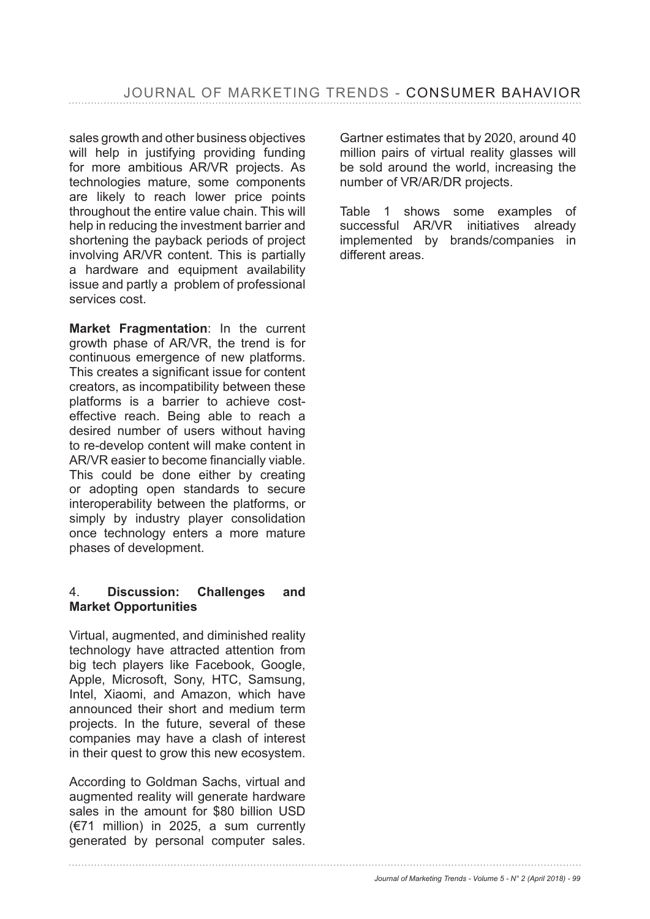sales growth and other business objectives will help in justifying providing funding for more ambitious AR/VR projects. As technologies mature, some components are likely to reach lower price points throughout the entire value chain. This will help in reducing the investment barrier and shortening the payback periods of project involving AR/VR content. This is partially a hardware and equipment availability issue and partly a problem of professional services cost.

**Market Fragmentation**: In the current growth phase of AR/VR, the trend is for continuous emergence of new platforms. This creates a significant issue for content creators, as incompatibility between these platforms is a barrier to achieve costeffective reach. Being able to reach a desired number of users without having to re-develop content will make content in AR/VR easier to become financially viable. This could be done either by creating or adopting open standards to secure interoperability between the platforms, or simply by industry player consolidation once technology enters a more mature phases of development.

#### 4. **Discussion: Challenges and Market Opportunities**

Virtual, augmented, and diminished reality technology have attracted attention from big tech players like Facebook, Google, Apple, Microsoft, Sony, HTC, Samsung, Intel, Xiaomi, and Amazon, which have announced their short and medium term projects. In the future, several of these companies may have a clash of interest in their quest to grow this new ecosystem.

According to Goldman Sachs, virtual and augmented reality will generate hardware sales in the amount for \$80 billion USD  $(€71$  million) in 2025, a sum currently generated by personal computer sales. Gartner estimates that by 2020, around 40 million pairs of virtual reality glasses will be sold around the world, increasing the number of VR/AR/DR projects.

Table 1 shows some examples of successful AR/VR initiatives already implemented by brands/companies in different areas.

*Journal of Marketing Trends - Volume 5 - N° 2 (April 2018) - 99*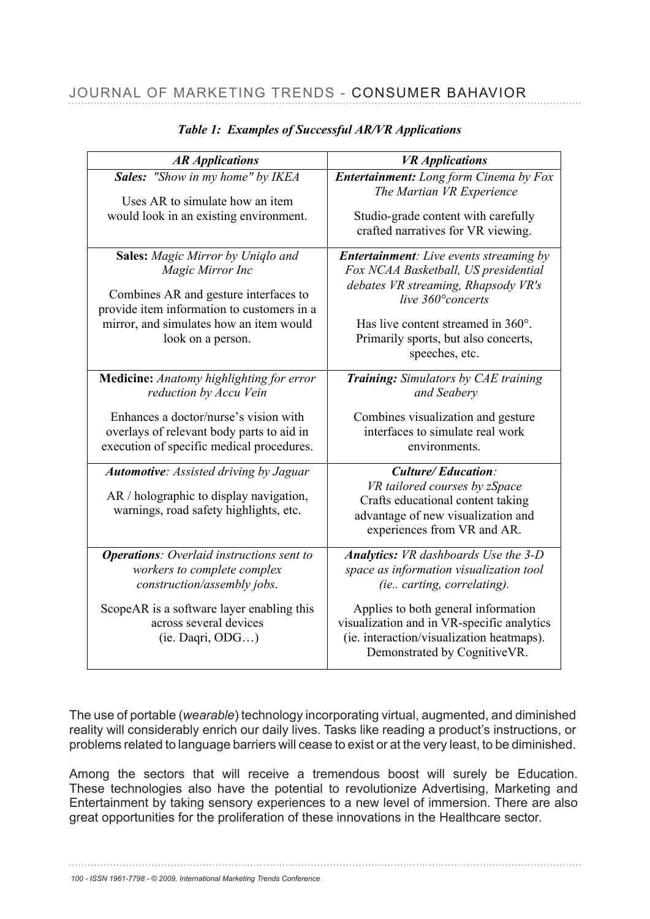| <b>AR Applications</b>                                                                                                                                                                                              | <b>VR</b> Applications<br>Entertainment: Long form Cinema by Fox<br>The Martian VR Experience<br>Studio-grade content with carefully<br>crafted narratives for VR viewing.                                                                          |  |  |  |  |
|---------------------------------------------------------------------------------------------------------------------------------------------------------------------------------------------------------------------|-----------------------------------------------------------------------------------------------------------------------------------------------------------------------------------------------------------------------------------------------------|--|--|--|--|
| <b>Sales:</b> "Show in my home" by IKEA<br>Uses AR to simulate how an item<br>would look in an existing environment.                                                                                                |                                                                                                                                                                                                                                                     |  |  |  |  |
| <b>Sales:</b> Magic Mirror by Uniqlo and<br>Magic Mirror Inc<br>Combines AR and gesture interfaces to<br>provide item information to customers in a<br>mirror, and simulates how an item would<br>look on a person. | <b>Entertainment:</b> Live events streaming by<br>Fox NCAA Basketball, US presidential<br>debates VR streaming, Rhapsody VR's<br>live 360° concerts<br>Has live content streamed in 360°.<br>Primarily sports, but also concerts,<br>speeches, etc. |  |  |  |  |
| Medicine: Anatomy highlighting for error<br>reduction by Accu Vein<br>Enhances a doctor/nurse's vision with<br>overlays of relevant body parts to aid in<br>execution of specific medical procedures.               | <b>Training:</b> Simulators by CAE training<br>and Seabery<br>Combines visualization and gesture<br>interfaces to simulate real work<br>environments.                                                                                               |  |  |  |  |
| <b>Automotive:</b> Assisted driving by Jaguar<br>AR / holographic to display navigation,<br>warnings, road safety highlights, etc.                                                                                  | <b>Culture/Education:</b><br>VR tailored courses by zSpace<br>Crafts educational content taking<br>advantage of new visualization and<br>experiences from VR and AR.                                                                                |  |  |  |  |
| <b>Operations:</b> Overlaid instructions sent to<br>workers to complete complex<br>construction/assembly jobs.                                                                                                      | <b>Analytics:</b> VR dashboards Use the 3-D<br>space as information visualization tool<br><i>(ie carting, correlating).</i>                                                                                                                         |  |  |  |  |
| ScopeAR is a software layer enabling this<br>across several devices<br>(ie. Daqri, ODG)                                                                                                                             | Applies to both general information<br>visualization and in VR-specific analytics<br>(ie. interaction/visualization heatmaps).<br>Demonstrated by CognitiveVR.                                                                                      |  |  |  |  |

#### *Table 1: Examples of Successful AR/VR Applications*

The use of portable (*wearable*) technology incorporating virtual, augmented, and diminished reality will considerably enrich our daily lives. Tasks like reading a product's instructions, or problems related to language barriers will cease to exist or at the very least, to be diminished. ems related to language barriers will cease to exist or at the very least to be diminished. he use of portable (*wearable)* technology incorporating virtual, augmented, and diminish

Among the sectors that will receive a tremendous boost will surely be Education. These technologies also have the potential to revolutionize Advertising, Marketing and Entertainment by taking sensory experiences to a new level of immersion. There are also great opportunities for the proliferation of these innovations in the Healthcare sector.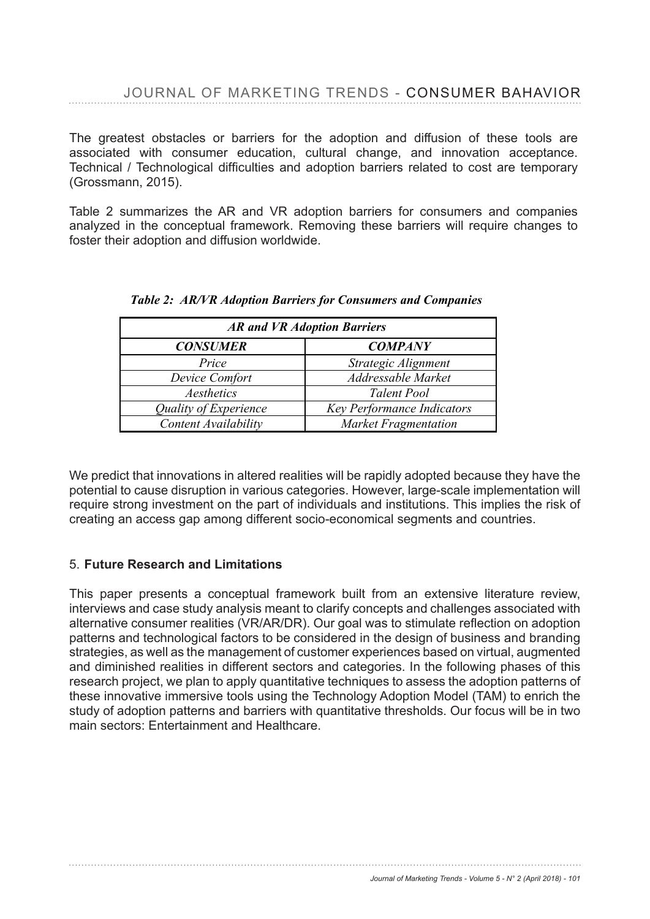The greatest obstacles or barriers for the adoption and diffusion of these tools are associated with consumer education, cultural change, and innovation acceptance. Technical / Technological difficulties and adoption barriers related to cost are temporary (Grossmann, 2015).  $\epsilon$ chological difficulties and adoption barriers relation barriers relation barriers relation barriers relation barriers relation barriers relation barriers relations relation barriers relations relations relations relat

Table 2 summarizes the AR and VR adoption barriers for consumers and companies analyzed in the conceptual framework. Removing these barriers will require changes to foster their adoption and diffusion worldwide.

| <b>AR and VR Adoption Barriers</b> |                                   |  |  |  |
|------------------------------------|-----------------------------------|--|--|--|
| <b>CONSUMER</b>                    | <b>COMPANY</b>                    |  |  |  |
| Price                              | Strategic Alignment               |  |  |  |
| Device Comfort                     | Addressable Market                |  |  |  |
| Aesthetics                         | <b>Talent Pool</b>                |  |  |  |
| Quality of Experience              | <b>Key Performance Indicators</b> |  |  |  |
| Content Availability               | <b>Market Fragmentation</b>       |  |  |  |

|  |  | <b>Table 2: AR/VR Adoption Barriers for Consumers and Companies</b> |  |
|--|--|---------------------------------------------------------------------|--|
|  |  |                                                                     |  |

We predict that innovations in altered realities will be rapidly adopted because they have the potential to cause disruption in various categories. However, large-scale implementation will require strong investment on the part of individuals and institutions. This implies the risk of creating an access gap among different socio-economical segments and countries.

## 5. **Future Research and Limitations**

This paper presents a conceptual framework built from an extensive literature review, interviews and case study analysis meant to clarify concepts and challenges associated with alternative consumer realities (VR/AR/DR). Our goal was to stimulate reflection on adoption patterns and technological factors to be considered in the design of business and branding that is a second leader the management of customers and an integral provided and conservated strategies, as well as the management of customer experiences based on virtual, augmented and diminished realities in different sectors and categories. In the following phases of this and diminished realities in different sectors and categories. the following phases of this research project, we plan to apply quantitative techniques to assess the adoption patterns of research project, we plan to apply quantitative techniques to assess the adoption patterns of these innovative immersive tools using the Technology Adoption Model (TAM) to enrich the these innovative immersive tools using the Technology Adoption Model (TAM) to enrich the study of adoption patterns and barriers with quantitative thresholds. Our focus will be in two main sectors: Entertainment and Healthcare. main sectors: Entertainment and Healthcare.